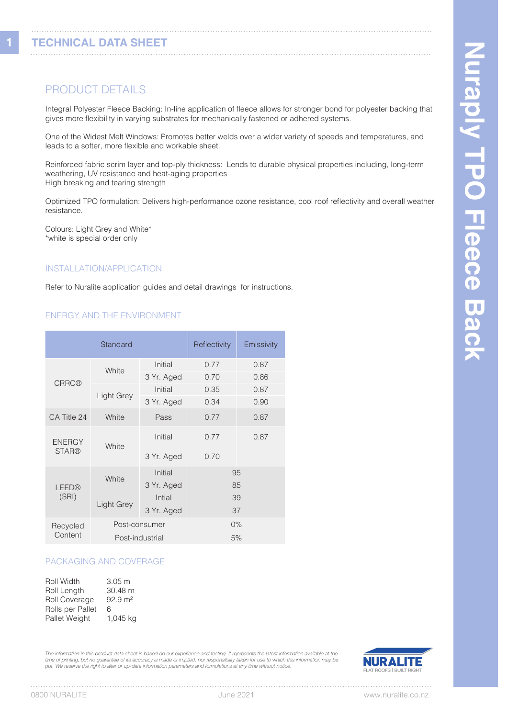**1**

# PRODUCT DETAILS

Integral Polyester Fleece Backing: In-line application of fleece allows for stronger bond for polyester backing that gives more flexibility in varying substrates for mechanically fastened or adhered systems.

One of the Widest Melt Windows: Promotes better welds over a wider variety of speeds and temperatures, and leads to a softer, more flexible and workable sheet.

Reinforced fabric scrim layer and top-ply thickness: Lends to durable physical properties including, long-term weathering, UV resistance and heat-aging properties High breaking and tearing strength

Optimized TPO formulation: Delivers high-performance ozone resistance, cool roof reflectivity and overall weather resistance.

Colours: Light Grey and White\* \*white is special order only

#### INSTALLATION/APPLICATION

Refer to Nuralite application guides and detail drawings for instructions.

### ENERGY AND THE ENVIRONMENT

| Standard                      |                 | Reflectivity | Emissivity |      |  |
|-------------------------------|-----------------|--------------|------------|------|--|
| <b>CRRC®</b>                  | White           | Initial      | 0.77       | 0.87 |  |
|                               |                 | 3 Yr. Aged   | 0.70       | 0.86 |  |
|                               | Light Grey      | Initial      | 0.35       | 0.87 |  |
|                               |                 | 3 Yr. Aged   | 0.34       | 0.90 |  |
| CA Title 24                   | White           | Pass         | 0.77       | 0.87 |  |
| <b>ENERGY</b><br><b>STAR®</b> | White           | Initial      | 0.77       | 0.87 |  |
|                               |                 | 3 Yr. Aged   | 0.70       |      |  |
|                               |                 | Initial      | 95         |      |  |
| LEED®                         | White           | 3 Yr. Aged   | 85         |      |  |
| (SRI)                         |                 | Intial       | 39         |      |  |
|                               | Light Grey      | 3 Yr. Aged   | 37         |      |  |
| Recycled                      | Post-consumer   |              | $0\%$      |      |  |
| Content                       | Post-industrial |              | 5%         |      |  |

#### PACKAGING AND COVERAGE

| Roll Width           | 3.05 <sub>m</sub>  |
|----------------------|--------------------|
| Roll Length          | 30.48 m            |
| <b>Roll Coverage</b> | $92.9 \text{ m}^2$ |
| Rolls per Pallet     | 6                  |
| Pallet Weight        | 1,045 kg           |

*The information in this product data sheet is based on our experience and testing. It represents the latest information available at the time of printing, but no guarantee of its accuracy is made or implied, nor responsibility taken for use to which this information may be put. We reserve the right to alter or up-date information parameters and formulations at any time without notice.*